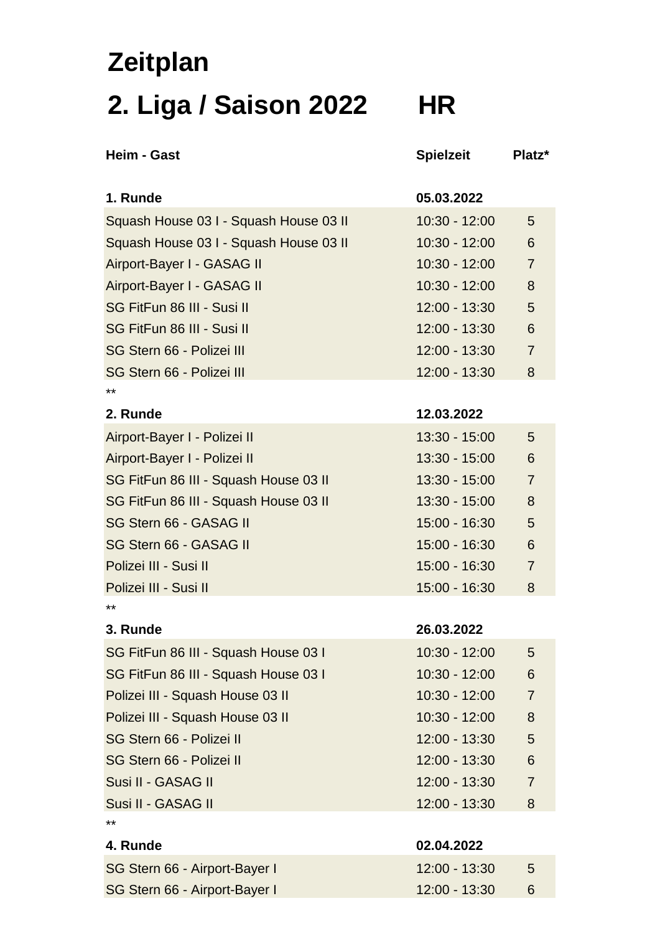## **Zeitplan 2. Liga / Saison 2022 HR**

| <b>Heim - Gast</b>                     | <b>Spielzeit</b> | Platz <sup>*</sup> |
|----------------------------------------|------------------|--------------------|
| 1. Runde                               | 05.03.2022       |                    |
| Squash House 03 I - Squash House 03 II | $10:30 - 12:00$  | 5                  |
| Squash House 03 I - Squash House 03 II | $10:30 - 12:00$  | 6                  |
| Airport-Bayer I - GASAG II             | $10:30 - 12:00$  | $\overline{7}$     |
| Airport-Bayer I - GASAG II             | 10:30 - 12:00    | 8                  |
| SG FitFun 86 III - Susi II             | $12:00 - 13:30$  | 5                  |
| SG FitFun 86 III - Susi II             | 12:00 - 13:30    | 6                  |
| SG Stern 66 - Polizei III              | 12:00 - 13:30    | $\overline{7}$     |
| SG Stern 66 - Polizei III              | $12:00 - 13:30$  | 8                  |
| **                                     |                  |                    |
| 2. Runde                               | 12.03.2022       |                    |
| Airport-Bayer I - Polizei II           | $13:30 - 15:00$  | 5                  |
| Airport-Bayer I - Polizei II           | 13:30 - 15:00    | 6                  |
| SG FitFun 86 III - Squash House 03 II  | 13:30 - 15:00    | $\overline{7}$     |
| SG FitFun 86 III - Squash House 03 II  | $13:30 - 15:00$  | 8                  |
| SG Stern 66 - GASAG II                 | 15:00 - 16:30    | 5                  |
| SG Stern 66 - GASAG II                 | 15:00 - 16:30    | 6                  |
| Polizei III - Susi II                  | 15:00 - 16:30    | $\overline{7}$     |
| Polizei III - Susi II                  | 15:00 - 16:30    | 8                  |
| $**$                                   |                  |                    |
| 3. Runde                               | 26.03.2022       |                    |
| SG FitFun 86 III - Squash House 03 I   | $10:30 - 12:00$  | 5                  |
| SG FitFun 86 III - Squash House 03 I   | $10:30 - 12:00$  | 6                  |
| Polizei III - Squash House 03 II       | $10:30 - 12:00$  | $\overline{7}$     |
| Polizei III - Squash House 03 II       | $10:30 - 12:00$  | 8                  |
| SG Stern 66 - Polizei II               | $12:00 - 13:30$  | 5                  |
| SG Stern 66 - Polizei II               | $12:00 - 13:30$  | 6                  |
| Susi II - GASAG II                     | 12:00 - 13:30    | $\overline{7}$     |
| Susi II - GASAG II                     | 12:00 - 13:30    | 8                  |
| **                                     |                  |                    |
| 4. Runde                               | 02.04.2022       |                    |
| SG Stern 66 - Airport-Bayer I          | 12:00 - 13:30    | 5                  |
| SG Stern 66 - Airport-Bayer I          | 12:00 - 13:30    | 6                  |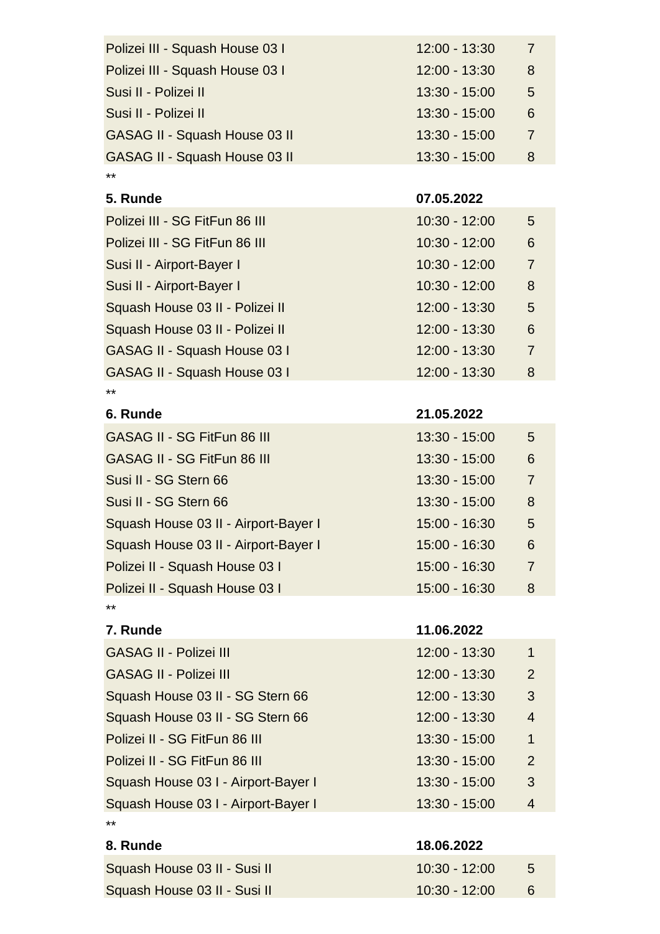| Polizei III - Squash House 03 I      | $12:00 - 13:30$ | $\overline{7}$ |
|--------------------------------------|-----------------|----------------|
| Polizei III - Squash House 03 I      | 12:00 - 13:30   | 8              |
| Susi II - Polizei II                 | 13:30 - 15:00   | 5              |
| Susi II - Polizei II                 | 13:30 - 15:00   | 6              |
| <b>GASAG II - Squash House 03 II</b> | $13:30 - 15:00$ | $\overline{7}$ |
| <b>GASAG II - Squash House 03 II</b> | $13:30 - 15:00$ | 8              |
| **                                   |                 |                |
| 5. Runde                             | 07.05.2022      |                |
| Polizei III - SG FitFun 86 III       | $10:30 - 12:00$ | 5              |
| Polizei III - SG FitFun 86 III       | 10:30 - 12:00   | 6              |
| Susi II - Airport-Bayer I            | 10:30 - 12:00   | $\overline{7}$ |
| Susi II - Airport-Bayer I            | $10:30 - 12:00$ | 8              |
| Squash House 03 II - Polizei II      | 12:00 - 13:30   | 5              |
| Squash House 03 II - Polizei II      | 12:00 - 13:30   | 6              |
| <b>GASAG II - Squash House 03 I</b>  | 12:00 - 13:30   | $\overline{7}$ |
| <b>GASAG II - Squash House 03 I</b>  | 12:00 - 13:30   | 8              |
| **                                   |                 |                |
| 6. Runde                             | 21.05.2022      |                |
| GASAG II - SG FitFun 86 III          | $13:30 - 15:00$ | 5              |
| <b>GASAG II - SG FitFun 86 III</b>   | $13:30 - 15:00$ | 6              |
| Susi II - SG Stern 66                | $13:30 - 15:00$ | $\overline{7}$ |
| Susi II - SG Stern 66                | $13:30 - 15:00$ | 8              |
| Squash House 03 II - Airport-Bayer I | 15:00 - 16:30   | 5              |
| Squash House 03 II - Airport-Bayer I | 15:00 - 16:30   | 6              |
| Polizei II - Squash House 03 I       | 15:00 - 16:30   | 7              |
| Polizei II - Squash House 03 I       | 15:00 - 16:30   | 8              |
| **                                   |                 |                |
| 7. Runde                             | 11.06.2022      |                |
| <b>GASAG II - Polizei III</b>        | $12:00 - 13:30$ | $\mathbf{1}$   |
| <b>GASAG II - Polizei III</b>        | 12:00 - 13:30   | 2              |
| Squash House 03 II - SG Stern 66     | 12:00 - 13:30   | 3              |
| Squash House 03 II - SG Stern 66     | $12:00 - 13:30$ | $\overline{4}$ |
| Polizei II - SG FitFun 86 III        | $13:30 - 15:00$ | $\mathbf{1}$   |
| Polizei II - SG FitFun 86 III        | $13:30 - 15:00$ | $\overline{2}$ |
| Squash House 03 I - Airport-Bayer I  | 13:30 - 15:00   | 3              |

\*\* **8. Runde 18.06.2022** Squash House 03 II - Susi II 10:30 - 12:00 5 Squash House 03 II - Susi II 10:30 - 12:00 6

Squash House 03 I - Airport-Bayer I 13:30 - 15:00 4